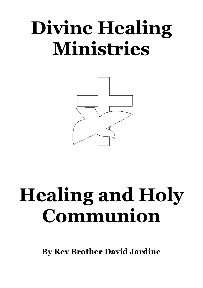# **Divine Healing Ministries**



# **Healing and Holy Communion**

**By Rev Brother David Jardine**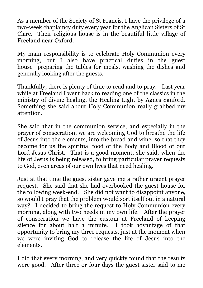As a member of the Society of St Francis, I have the privilege of a two-week chaplaincy duty every year for the Anglican Sisters of St Clare. Their religious house is in the beautiful little village of Freeland near Oxford.

My main responsibility is to celebrate Holy Communion every morning, but I also have practical duties in the guest house—preparing the tables for meals, washing the dishes and generally looking after the guests.

Thankfully, there is plenty of time to read and to pray. Last year while at Freeland I went back to reading one of the classics in the ministry of divine healing, the Healing Light by Agnes Sanford. Something she said about Holy Communion really grabbed my attention.

She said that in the communion service, and especially in the prayer of consecration, we are welcoming God to breathe the life of Jesus into the elements, into the bread and wine, so that they become for us the spiritual food of the Body and Blood of our Lord Jesus Christ. That is a good moment, she said, when the life of Jesus is being released, to bring particular prayer requests to God, even areas of our own lives that need healing.

Just at that time the guest sister gave me a rather urgent prayer request. She said that she had overbooked the guest house for the following week-end. She did not want to disappoint anyone, so would I pray that the problem would sort itself out in a natural way? I decided to bring the request to Holy Communion every morning, along with two needs in my own life. After the prayer of consecration we have the custom at Freeland of keeping silence for about half a minute. I took advantage of that opportunity to bring my three requests, just at the moment when we were inviting God to release the life of Jesus into the elements.

I did that every morning, and very quickly found that the results were good. After three or four days the guest sister said to me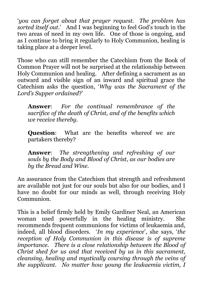'*you can forget about that prayer request. The problem has sorted itself out*.' And I was beginning to feel God's touch in the two areas of need in my own life. One of those is ongoing, and as I continue to bring it regularly to Holy Communion, healing is taking place at a deeper level.

Those who can still remember the Catechism from the Book of Common Prayer will not be surprised at the relationship between Holy Communion and healing. After defining a sacrament as an outward and visible sign of an inward and spiritual grace the Catechism asks the question, '*Why was the Sacrament of the Lord's Supper ordained*?'

**Answer**: *For the continual remembrance of the sacrifice of the death of Christ, and of the benefits which we receive thereby.*

**Question:** What are the benefits whereof we are partakers thereby?

**Answer**: *The strengthening and refreshing of our souls by the Body and Blood of Christ, as our bodies are by the Bread and Wine.*

An assurance from the Catechism that strength and refreshment are available not just for our souls but also for our bodies, and I have no doubt for our minds as well, through receiving Holy Communion.

This is a belief firmly held by Emily Gardiner Neal, an American woman used powerfully in the healing ministry. She recommends frequent communions for victims of leukaemia and, indeed, all blood disorders. '*In my experience*', she says, '*the reception of Holy Communion in this disease is of supreme importance. There is a close relationship between the Blood of Christ shed for us and that received by us in this sacrament, cleansing, healing and mystically coursing through the veins of the supplicant. No matter how young the leukaemia victim, I*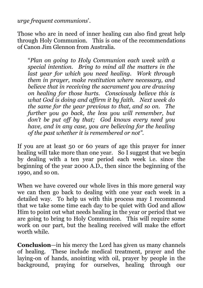*urge frequent communions*'.

Those who are in need of inner healing can also find great help through Holy Communion. This is one of the recommendations of Canon Jim Glennon from Australia.

"*Plan on going to Holy Communion each week with a special intention. Bring to mind all the matters in the last year for which you need healing. Work through them in prayer, make restitution where necessary, and believe that in receiving the sacrament you are drawing on healing for those hurts. Consciously believe this is what God is doing and affirm it by faith. Next week do the same for the year previous to that, and so on. The further you go back, the less you will remember, but don't be put off by that; God knows every need you have, and in any case, you are believing for the healing of the past whether it is remembered or not".*

If you are at least 50 or 60 years of age this prayer for inner healing will take more than one year. So I suggest that we begin by dealing with a ten year period each week i.e. since the beginning of the year 2000 A.D., then since the beginning of the 1990, and so on.

When we have covered our whole lives in this more general way we can then go back to dealing with one year each week in a detailed way. To help us with this process may I recommend that we take some time each day to be quiet with God and allow Him to point out what needs healing in the year or period that we are going to bring to Holy Communion. This will require some work on our part, but the healing received will make the effort worth while.

**Conclusion**—in his mercy the Lord has given us many channels of healing. These include medical treatment, prayer and the laying-on of hands, anointing with oil, prayer by people in the background, praying for ourselves, healing through our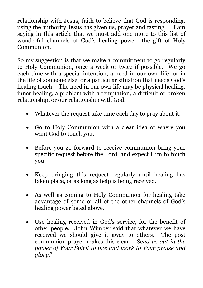relationship with Jesus, faith to believe that God is responding, using the authority Jesus has given us, prayer and fasting. I am saying in this article that we must add one more to this list of wonderful channels of God's healing power—the gift of Holy **Communion** 

So my suggestion is that we make a commitment to go regularly to Holy Communion, once a week or twice if possible. We go each time with a special intention, a need in our own life, or in the life of someone else, or a particular situation that needs God's healing touch. The need in our own life may be physical healing, inner healing, a problem with a temptation, a difficult or broken relationship, or our relationship with God.

- Whatever the request take time each day to pray about it.
- Go to Holy Communion with a clear idea of where you want God to touch you.
- Before you go forward to receive communion bring your specific request before the Lord, and expect Him to touch you.
- Keep bringing this request regularly until healing has taken place, or as long as help is being received.
- As well as coming to Holy Communion for healing take advantage of some or all of the other channels of God's healing power listed above.
- Use healing received in God's service, for the benefit of other people. John Wimber said that whatever we have received we should give it away to others. The post communion prayer makes this clear - 'S*end us out in the power of Your Spirit to live and work to Your praise and glory!'*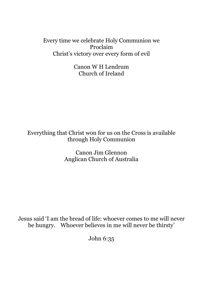Every time we celebrate Holy Communion we Proclaim Christ's victory over every form of evil

> Canon W H Lendrum Church of Ireland

Everything that Christ won for us on the Cross is available through Holy Communion

> Canon Jim Glennon Anglican Church of Australia

Jesus said 'I am the bread of life: whoever comes to me will never be hungry. Whoever believes in me will never be thirsty'

John 6:35